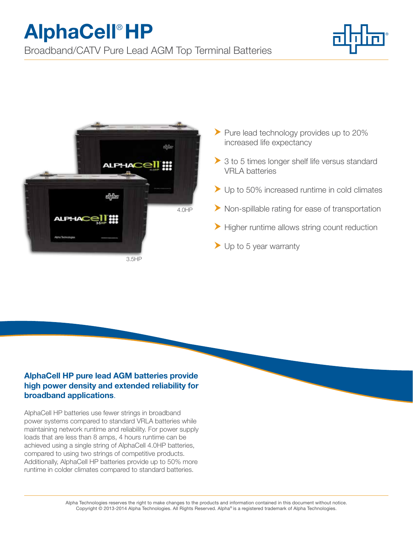## AlphaCell® HP

Broadband/CATV Pure Lead AGM Top Terminal Batteries





- Pure lead technology provides up to 20% increased life expectancy
- ▶ 3 to 5 times longer shelf life versus standard VRLA batteries
- ▶ Up to 50% increased runtime in cold climates
- Non-spillable rating for ease of transportation
- Higher runtime allows string count reduction
- Up to 5 year warranty

## AlphaCell HP pure lead AGM batteries provide high power density and extended reliability for broadband applications.

AlphaCell HP batteries use fewer strings in broadband power systems compared to standard VRLA batteries while maintaining network runtime and reliability. For power supply loads that are less than 8 amps, 4 hours runtime can be achieved using a single string of AlphaCell 4.0HP batteries, compared to using two strings of competitive products. Additionally, AlphaCell HP batteries provide up to 50% more runtime in colder climates compared to standard batteries.